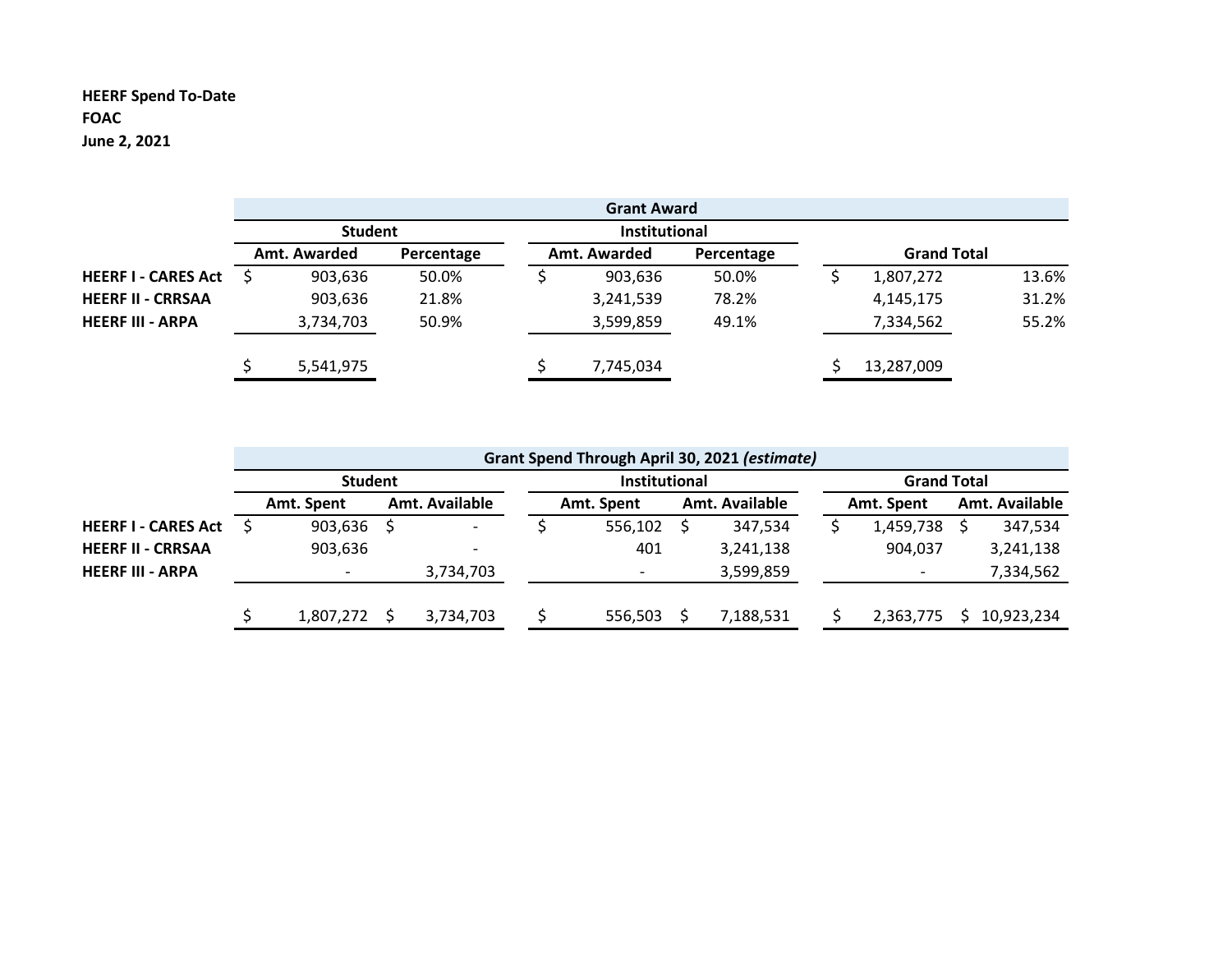## **HEERF Spend To-Date FOAC June 2, 2021**

|                            |                |              |            |               | <b>Grant Award</b> |            |  |                    |       |
|----------------------------|----------------|--------------|------------|---------------|--------------------|------------|--|--------------------|-------|
|                            | <b>Student</b> |              |            | Institutional |                    |            |  |                    |       |
|                            |                | Amt. Awarded | Percentage |               | Amt. Awarded       | Percentage |  | <b>Grand Total</b> |       |
| <b>HEERF I - CARES Act</b> |                | 903,636      | 50.0%      |               | 903,636            | 50.0%      |  | 1,807,272          | 13.6% |
| <b>HEERF II - CRRSAA</b>   |                | 903,636      | 21.8%      |               | 3,241,539          | 78.2%      |  | 4,145,175          | 31.2% |
| <b>HEERF III - ARPA</b>    |                | 3,734,703    | 50.9%      |               | 3,599,859          | 49.1%      |  | 7,334,562          | 55.2% |
|                            |                | 5,541,975    |            |               | 7,745,034          |            |  | 13,287,009         |       |

|                            | Grant Spend Through April 30, 2021 (estimate) |                          |  |                          |  |                          |                    |                |  |            |  |                |
|----------------------------|-----------------------------------------------|--------------------------|--|--------------------------|--|--------------------------|--------------------|----------------|--|------------|--|----------------|
|                            | <b>Student</b>                                |                          |  | Institutional            |  |                          | <b>Grand Total</b> |                |  |            |  |                |
|                            |                                               | Amt. Spent               |  | Amt. Available           |  | Amt. Spent               |                    | Amt. Available |  | Amt. Spent |  | Amt. Available |
| <b>HEERF I - CARES Act</b> |                                               | 903,636                  |  | $\overline{\phantom{0}}$ |  | 556,102                  |                    | 347.534        |  | 1,459,738  |  | 347,534        |
| <b>HEERF II - CRRSAA</b>   |                                               | 903,636                  |  |                          |  | 401                      |                    | 3,241,138      |  | 904,037    |  | 3,241,138      |
| <b>HEERF III - ARPA</b>    |                                               | $\overline{\phantom{0}}$ |  | 3,734,703                |  | $\overline{\phantom{a}}$ |                    | 3,599,859      |  |            |  | 7,334,562      |
|                            |                                               |                          |  |                          |  |                          |                    |                |  |            |  |                |
|                            |                                               | 1,807,272                |  | 3,734,703                |  | 556,503                  |                    | 7,188,531      |  | 2,363,775  |  | 10,923,234     |